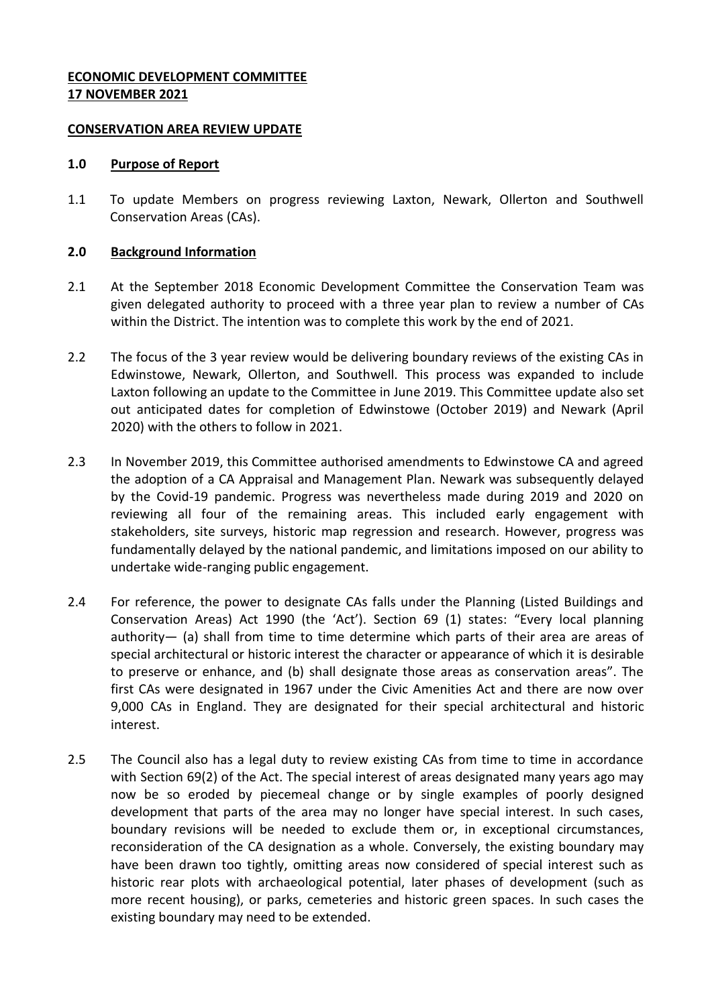# **ECONOMIC DEVELOPMENT COMMITTEE 17 NOVEMBER 2021**

### **CONSERVATION AREA REVIEW UPDATE**

#### **1.0 Purpose of Report**

1.1 To update Members on progress reviewing Laxton, Newark, Ollerton and Southwell Conservation Areas (CAs).

### **2.0 Background Information**

- 2.1 At the September 2018 Economic Development Committee the Conservation Team was given delegated authority to proceed with a three year plan to review a number of CAs within the District. The intention was to complete this work by the end of 2021.
- 2.2 The focus of the 3 year review would be delivering boundary reviews of the existing CAs in Edwinstowe, Newark, Ollerton, and Southwell. This process was expanded to include Laxton following an update to the Committee in June 2019. This Committee update also set out anticipated dates for completion of Edwinstowe (October 2019) and Newark (April 2020) with the others to follow in 2021.
- 2.3 In November 2019, this Committee authorised amendments to Edwinstowe CA and agreed the adoption of a CA Appraisal and Management Plan. Newark was subsequently delayed by the Covid-19 pandemic. Progress was nevertheless made during 2019 and 2020 on reviewing all four of the remaining areas. This included early engagement with stakeholders, site surveys, historic map regression and research. However, progress was fundamentally delayed by the national pandemic, and limitations imposed on our ability to undertake wide-ranging public engagement.
- 2.4 For reference, the power to designate CAs falls under the Planning (Listed Buildings and Conservation Areas) Act 1990 (the 'Act'). Section 69 (1) states: "Every local planning authority— (a) shall from time to time determine which parts of their area are areas of special architectural or historic interest the character or appearance of which it is desirable to preserve or enhance, and (b) shall designate those areas as conservation areas". The first CAs were designated in 1967 under the Civic Amenities Act and there are now over 9,000 CAs in England. They are designated for their special architectural and historic interest.
- 2.5 The Council also has a legal duty to review existing CAs from time to time in accordance with Section 69(2) of the Act. The special interest of areas designated many years ago may now be so eroded by piecemeal change or by single examples of poorly designed development that parts of the area may no longer have special interest. In such cases, boundary revisions will be needed to exclude them or, in exceptional circumstances, reconsideration of the CA designation as a whole. Conversely, the existing boundary may have been drawn too tightly, omitting areas now considered of special interest such as historic rear plots with archaeological potential, later phases of development (such as more recent housing), or parks, cemeteries and historic green spaces. In such cases the existing boundary may need to be extended.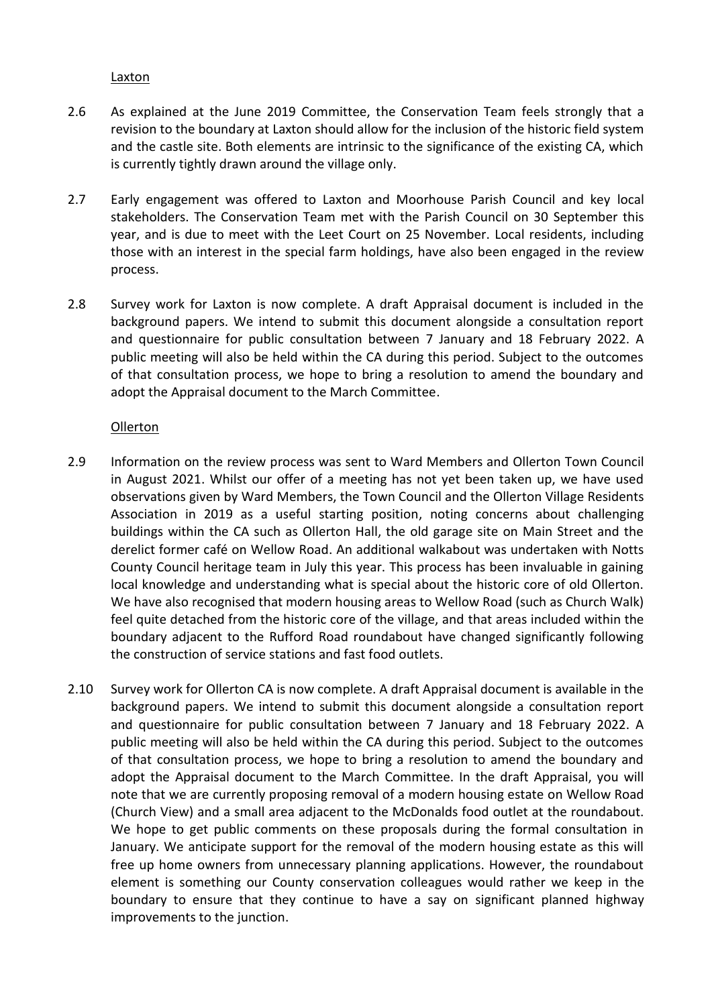## Laxton

- 2.6 As explained at the June 2019 Committee, the Conservation Team feels strongly that a revision to the boundary at Laxton should allow for the inclusion of the historic field system and the castle site. Both elements are intrinsic to the significance of the existing CA, which is currently tightly drawn around the village only.
- 2.7 Early engagement was offered to Laxton and Moorhouse Parish Council and key local stakeholders. The Conservation Team met with the Parish Council on 30 September this year, and is due to meet with the Leet Court on 25 November. Local residents, including those with an interest in the special farm holdings, have also been engaged in the review process.
- 2.8 Survey work for Laxton is now complete. A draft Appraisal document is included in the background papers. We intend to submit this document alongside a consultation report and questionnaire for public consultation between 7 January and 18 February 2022. A public meeting will also be held within the CA during this period. Subject to the outcomes of that consultation process, we hope to bring a resolution to amend the boundary and adopt the Appraisal document to the March Committee.

## Ollerton

- 2.9 Information on the review process was sent to Ward Members and Ollerton Town Council in August 2021. Whilst our offer of a meeting has not yet been taken up, we have used observations given by Ward Members, the Town Council and the Ollerton Village Residents Association in 2019 as a useful starting position, noting concerns about challenging buildings within the CA such as Ollerton Hall, the old garage site on Main Street and the derelict former café on Wellow Road. An additional walkabout was undertaken with Notts County Council heritage team in July this year. This process has been invaluable in gaining local knowledge and understanding what is special about the historic core of old Ollerton. We have also recognised that modern housing areas to Wellow Road (such as Church Walk) feel quite detached from the historic core of the village, and that areas included within the boundary adjacent to the Rufford Road roundabout have changed significantly following the construction of service stations and fast food outlets.
- 2.10 Survey work for Ollerton CA is now complete. A draft Appraisal document is available in the background papers. We intend to submit this document alongside a consultation report and questionnaire for public consultation between 7 January and 18 February 2022. A public meeting will also be held within the CA during this period. Subject to the outcomes of that consultation process, we hope to bring a resolution to amend the boundary and adopt the Appraisal document to the March Committee. In the draft Appraisal, you will note that we are currently proposing removal of a modern housing estate on Wellow Road (Church View) and a small area adjacent to the McDonalds food outlet at the roundabout. We hope to get public comments on these proposals during the formal consultation in January. We anticipate support for the removal of the modern housing estate as this will free up home owners from unnecessary planning applications. However, the roundabout element is something our County conservation colleagues would rather we keep in the boundary to ensure that they continue to have a say on significant planned highway improvements to the junction.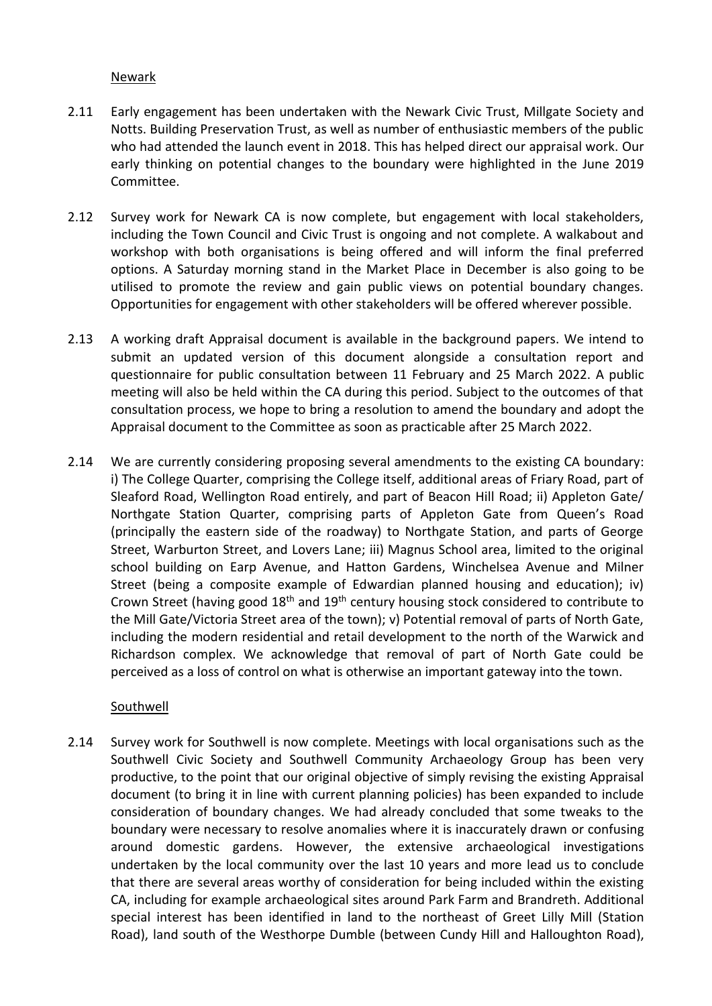## Newark

- 2.11 Early engagement has been undertaken with the Newark Civic Trust, Millgate Society and Notts. Building Preservation Trust, as well as number of enthusiastic members of the public who had attended the launch event in 2018. This has helped direct our appraisal work. Our early thinking on potential changes to the boundary were highlighted in the June 2019 Committee.
- 2.12 Survey work for Newark CA is now complete, but engagement with local stakeholders, including the Town Council and Civic Trust is ongoing and not complete. A walkabout and workshop with both organisations is being offered and will inform the final preferred options. A Saturday morning stand in the Market Place in December is also going to be utilised to promote the review and gain public views on potential boundary changes. Opportunities for engagement with other stakeholders will be offered wherever possible.
- 2.13 A working draft Appraisal document is available in the background papers. We intend to submit an updated version of this document alongside a consultation report and questionnaire for public consultation between 11 February and 25 March 2022. A public meeting will also be held within the CA during this period. Subject to the outcomes of that consultation process, we hope to bring a resolution to amend the boundary and adopt the Appraisal document to the Committee as soon as practicable after 25 March 2022.
- 2.14 We are currently considering proposing several amendments to the existing CA boundary: i) The College Quarter, comprising the College itself, additional areas of Friary Road, part of Sleaford Road, Wellington Road entirely, and part of Beacon Hill Road; ii) Appleton Gate/ Northgate Station Quarter, comprising parts of Appleton Gate from Queen's Road (principally the eastern side of the roadway) to Northgate Station, and parts of George Street, Warburton Street, and Lovers Lane; iii) Magnus School area, limited to the original school building on Earp Avenue, and Hatton Gardens, Winchelsea Avenue and Milner Street (being a composite example of Edwardian planned housing and education); iv) Crown Street (having good 18<sup>th</sup> and 19<sup>th</sup> century housing stock considered to contribute to the Mill Gate/Victoria Street area of the town); v) Potential removal of parts of North Gate, including the modern residential and retail development to the north of the Warwick and Richardson complex. We acknowledge that removal of part of North Gate could be perceived as a loss of control on what is otherwise an important gateway into the town.

## Southwell

2.14 Survey work for Southwell is now complete. Meetings with local organisations such as the Southwell Civic Society and Southwell Community Archaeology Group has been very productive, to the point that our original objective of simply revising the existing Appraisal document (to bring it in line with current planning policies) has been expanded to include consideration of boundary changes. We had already concluded that some tweaks to the boundary were necessary to resolve anomalies where it is inaccurately drawn or confusing around domestic gardens. However, the extensive archaeological investigations undertaken by the local community over the last 10 years and more lead us to conclude that there are several areas worthy of consideration for being included within the existing CA, including for example archaeological sites around Park Farm and Brandreth. Additional special interest has been identified in land to the northeast of Greet Lilly Mill (Station Road), land south of the Westhorpe Dumble (between Cundy Hill and Halloughton Road),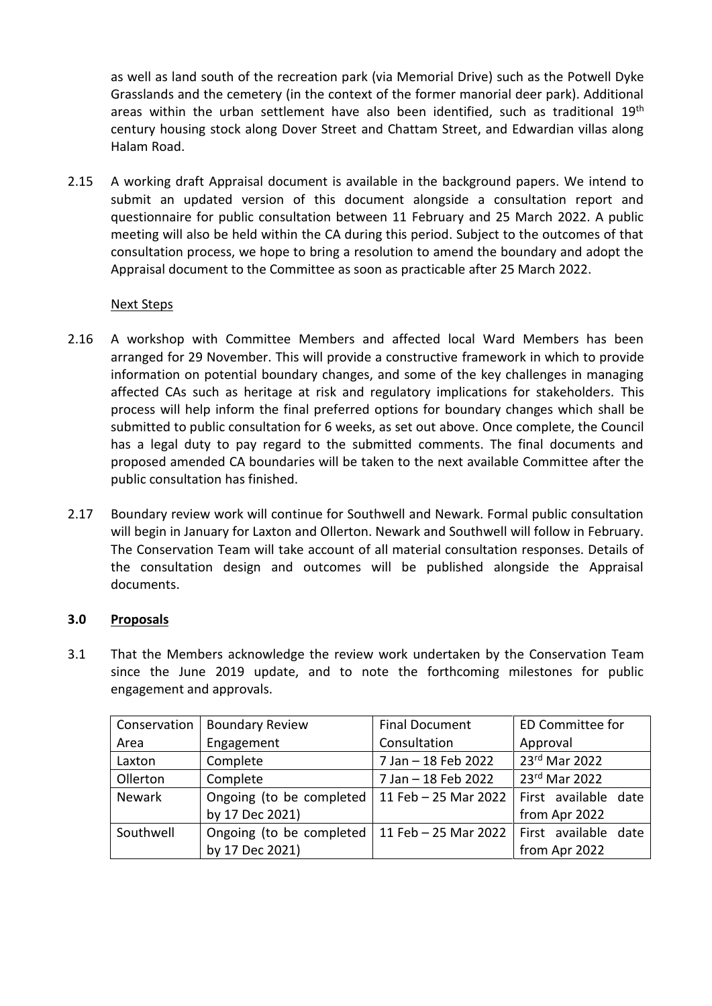as well as land south of the recreation park (via Memorial Drive) such as the Potwell Dyke Grasslands and the cemetery (in the context of the former manorial deer park). Additional areas within the urban settlement have also been identified, such as traditional 19<sup>th</sup> century housing stock along Dover Street and Chattam Street, and Edwardian villas along Halam Road.

2.15 A working draft Appraisal document is available in the background papers. We intend to submit an updated version of this document alongside a consultation report and questionnaire for public consultation between 11 February and 25 March 2022. A public meeting will also be held within the CA during this period. Subject to the outcomes of that consultation process, we hope to bring a resolution to amend the boundary and adopt the Appraisal document to the Committee as soon as practicable after 25 March 2022.

# Next Steps

- 2.16 A workshop with Committee Members and affected local Ward Members has been arranged for 29 November. This will provide a constructive framework in which to provide information on potential boundary changes, and some of the key challenges in managing affected CAs such as heritage at risk and regulatory implications for stakeholders. This process will help inform the final preferred options for boundary changes which shall be submitted to public consultation for 6 weeks, as set out above. Once complete, the Council has a legal duty to pay regard to the submitted comments. The final documents and proposed amended CA boundaries will be taken to the next available Committee after the public consultation has finished.
- 2.17 Boundary review work will continue for Southwell and Newark. Formal public consultation will begin in January for Laxton and Ollerton. Newark and Southwell will follow in February. The Conservation Team will take account of all material consultation responses. Details of the consultation design and outcomes will be published alongside the Appraisal documents.

# **3.0 Proposals**

3.1 That the Members acknowledge the review work undertaken by the Conservation Team since the June 2019 update, and to note the forthcoming milestones for public engagement and approvals.

| Conservation  | <b>Boundary Review</b>   | <b>Final Document</b>                       | <b>ED Committee for</b> |
|---------------|--------------------------|---------------------------------------------|-------------------------|
| Area          | Engagement               | Consultation                                | Approval                |
| Laxton        | Complete                 | 7 Jan - 18 Feb 2022                         | 23rd Mar 2022           |
| Ollerton      | Complete                 | 7 Jan - 18 Feb 2022                         | 23rd Mar 2022           |
| <b>Newark</b> | Ongoing (to be completed | 11 Feb - 25 Mar 2022                        | First available date    |
|               | by 17 Dec 2021)          |                                             | from Apr 2022           |
| Southwell     | Ongoing (to be completed | 11 Feb – 25 Mar 2022   First available date |                         |
|               | by 17 Dec 2021)          |                                             | from Apr 2022           |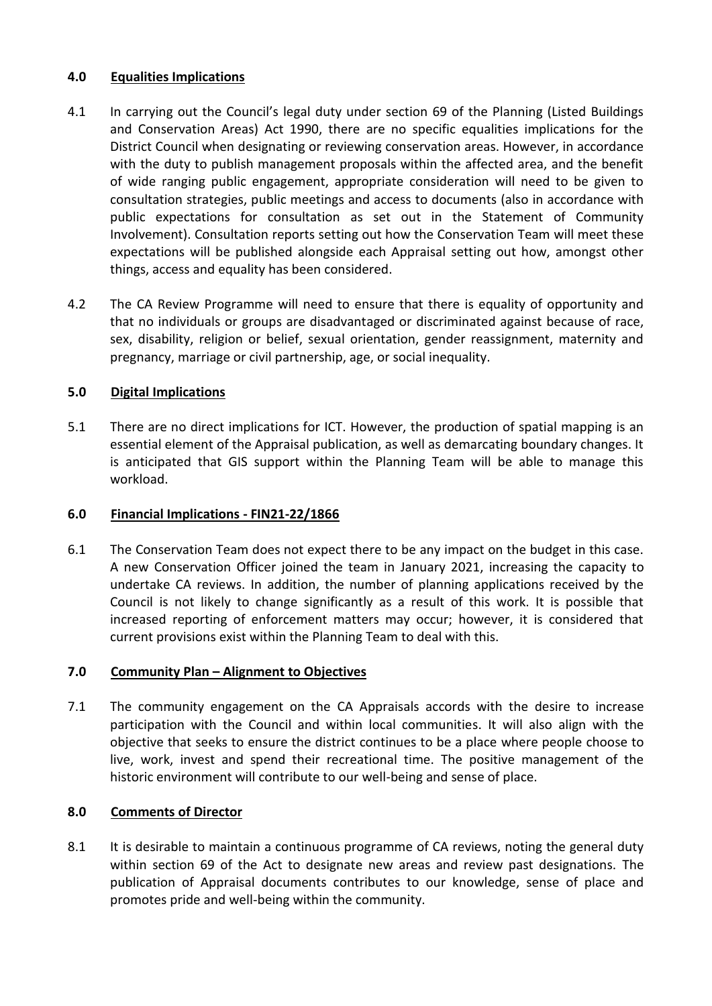# **4.0 Equalities Implications**

- 4.1 In carrying out the Council's legal duty under section 69 of the Planning (Listed Buildings and Conservation Areas) Act 1990, there are no specific equalities implications for the District Council when designating or reviewing conservation areas. However, in accordance with the duty to publish management proposals within the affected area, and the benefit of wide ranging public engagement, appropriate consideration will need to be given to consultation strategies, public meetings and access to documents (also in accordance with public expectations for consultation as set out in the Statement of Community Involvement). Consultation reports setting out how the Conservation Team will meet these expectations will be published alongside each Appraisal setting out how, amongst other things, access and equality has been considered.
- 4.2 The CA Review Programme will need to ensure that there is equality of opportunity and that no individuals or groups are disadvantaged or discriminated against because of race, sex, disability, religion or belief, sexual orientation, gender reassignment, maternity and pregnancy, marriage or civil partnership, age, or social inequality.

# **5.0 Digital Implications**

5.1 There are no direct implications for ICT. However, the production of spatial mapping is an essential element of the Appraisal publication, as well as demarcating boundary changes. It is anticipated that GIS support within the Planning Team will be able to manage this workload.

## **6.0 Financial Implications - FIN21-22/1866**

6.1 The Conservation Team does not expect there to be any impact on the budget in this case. A new Conservation Officer joined the team in January 2021, increasing the capacity to undertake CA reviews. In addition, the number of planning applications received by the Council is not likely to change significantly as a result of this work. It is possible that increased reporting of enforcement matters may occur; however, it is considered that current provisions exist within the Planning Team to deal with this.

## **7.0 Community Plan – Alignment to Objectives**

7.1 The community engagement on the CA Appraisals accords with the desire to increase participation with the Council and within local communities. It will also align with the objective that seeks to ensure the district continues to be a place where people choose to live, work, invest and spend their recreational time. The positive management of the historic environment will contribute to our well-being and sense of place.

# **8.0 Comments of Director**

8.1 It is desirable to maintain a continuous programme of CA reviews, noting the general duty within section 69 of the Act to designate new areas and review past designations. The publication of Appraisal documents contributes to our knowledge, sense of place and promotes pride and well-being within the community.